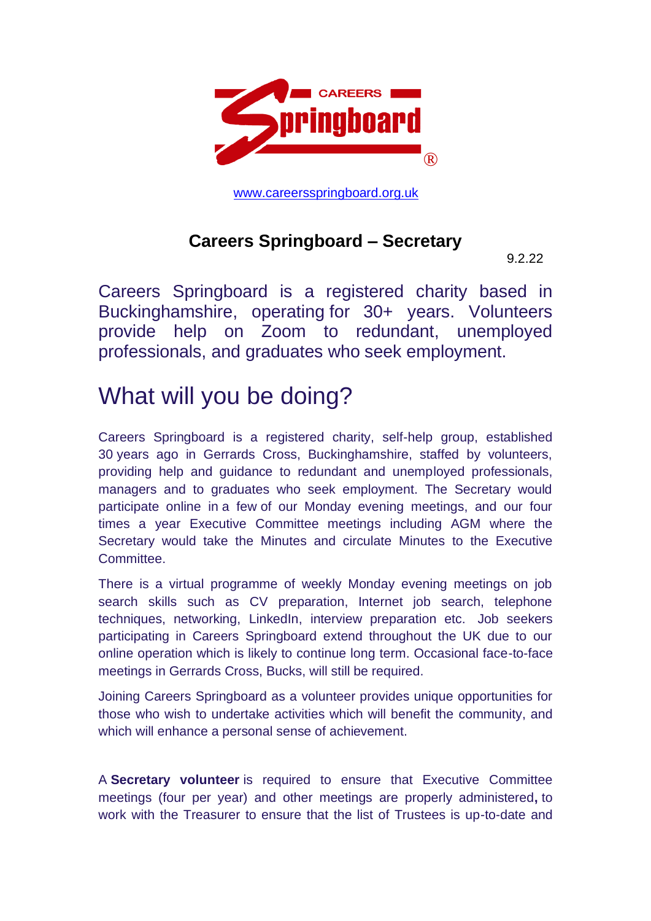

[www.careersspringboard.org.uk](http://www.careersspringboard.org.uk/)

#### **Careers Springboard – Secretary**

9.2.22

Careers Springboard is a registered charity based in Buckinghamshire, operating for 30+ years. Volunteers provide help on Zoom to redundant, unemployed professionals, and graduates who seek employment.

### What will you be doing?

Careers Springboard is a registered charity, self-help group, established 30 years ago in Gerrards Cross, Buckinghamshire, staffed by volunteers, providing help and guidance to redundant and unemployed professionals, managers and to graduates who seek employment. The Secretary would participate online in a few of our Monday evening meetings, and our four times a year Executive Committee meetings including AGM where the Secretary would take the Minutes and circulate Minutes to the Executive Committee.

There is a virtual programme of weekly Monday evening meetings on job search skills such as CV preparation, Internet job search, telephone techniques, networking, LinkedIn, interview preparation etc. Job seekers participating in Careers Springboard extend throughout the UK due to our online operation which is likely to continue long term. Occasional face-to-face meetings in Gerrards Cross, Bucks, will still be required.

Joining Careers Springboard as a volunteer provides unique opportunities for those who wish to undertake activities which will benefit the community, and which will enhance a personal sense of achievement.

A **Secretary volunteer** is required to ensure that Executive Committee meetings (four per year) and other meetings are properly administered**,** to work with the Treasurer to ensure that the list of Trustees is up-to-date and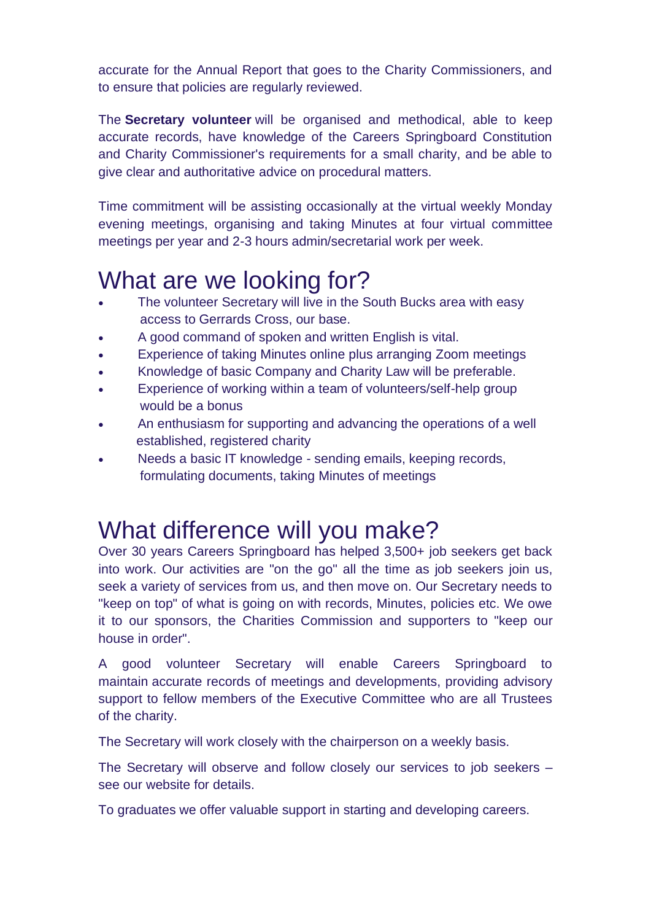accurate for the Annual Report that goes to the Charity Commissioners, and to ensure that policies are regularly reviewed.

The **Secretary volunteer** will be organised and methodical, able to keep accurate records, have knowledge of the Careers Springboard Constitution and Charity Commissioner's requirements for a small charity, and be able to give clear and authoritative advice on procedural matters.

Time commitment will be assisting occasionally at the virtual weekly Monday evening meetings, organising and taking Minutes at four virtual committee meetings per year and 2-3 hours admin/secretarial work per week.

# What are we looking for?

- The volunteer Secretary will live in the South Bucks area with easy access to Gerrards Cross, our base.
- A good command of spoken and written English is vital.
- Experience of taking Minutes online plus arranging Zoom meetings
- Knowledge of basic Company and Charity Law will be preferable.
- Experience of working within a team of volunteers/self-help group would be a bonus
- An enthusiasm for supporting and advancing the operations of a well established, registered charity
- Needs a basic IT knowledge sending emails, keeping records, formulating documents, taking Minutes of meetings

## What difference will you make?

Over 30 years Careers Springboard has helped 3,500+ job seekers get back into work. Our activities are "on the go" all the time as job seekers join us, seek a variety of services from us, and then move on. Our Secretary needs to "keep on top" of what is going on with records, Minutes, policies etc. We owe it to our sponsors, the Charities Commission and supporters to "keep our house in order".

A good volunteer Secretary will enable Careers Springboard to maintain accurate records of meetings and developments, providing advisory support to fellow members of the Executive Committee who are all Trustees of the charity.

The Secretary will work closely with the chairperson on a weekly basis.

The Secretary will observe and follow closely our services to job seekers – see our website for details.

To graduates we offer valuable support in starting and developing careers.